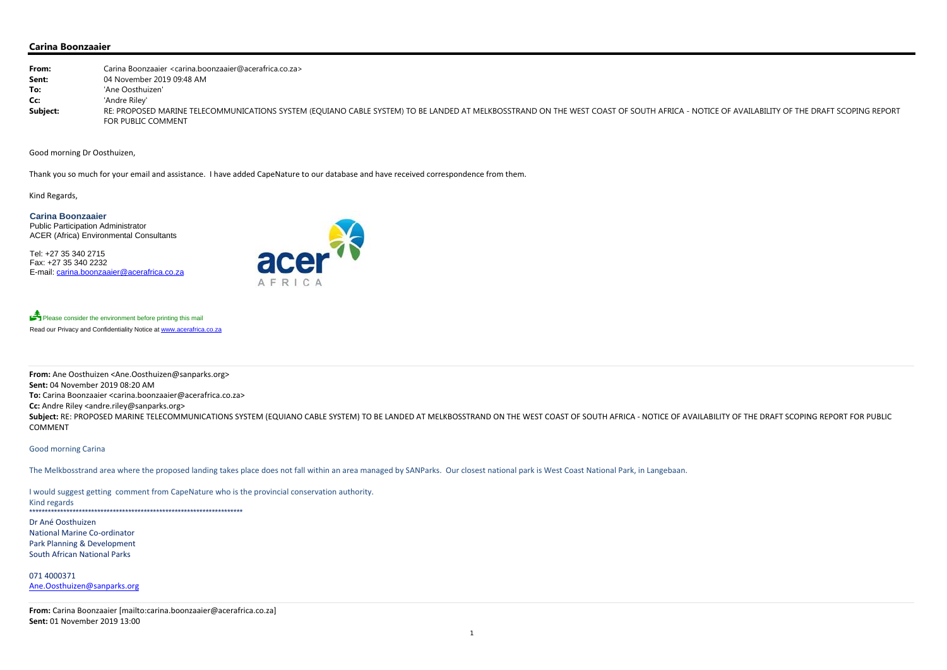## **Carina Boonzaaier**

| From:    | Carina Boonzaaier <carina.boonzaaier@acerafrica.co.za></carina.boonzaaier@acerafrica.co.za>                                                                         |
|----------|---------------------------------------------------------------------------------------------------------------------------------------------------------------------|
| Sent:    | 04 November 2019 09:48 AM                                                                                                                                           |
| To:      | 'Ane Oosthuizen'                                                                                                                                                    |
| Cc:      | 'Andre Riley'                                                                                                                                                       |
| Subject: | RE: PROPOSED MARINE TELECOMMUNICATIONS SYSTEM (EQUIANO CABLE SYSTEM) TO BE LANDED AT MELKBOSSTRAND ON THE WEST COAST OF SOUTH AFRICA - NOTICE<br>FOR PUBLIC COMMENT |

Good morning Dr Oosthuizen,

Please consider the environment before printing this mail Read our Privacy and Confidentiality Notice at www.acerafrica.co.za

Thank you so much for your email and assistance. I have added CapeNature to our database and have received correspondence from them.

Kind Regards,

**Carina Boonzaaier** Public Participation Administrator ACER (Africa) Environmental Consultants

Tel: +27 35 340 2715 Fax: +27 35 340 2232 E-mail: carina.boonzaaier@acerafrica.co.za



**From:** Ane Oosthuizen <Ane.Oosthuizen@sanparks.org> **Sent:** 04 November 2019 08:20 AM **To:** Carina Boonzaaier <carina.boonzaaier@acerafrica.co.za> **Cc:** Andre Riley <andre.riley@sanparks.org> Subject: RE: PROPOSED MARINE TELECOMMUNICATIONS SYSTEM (EQUIANO CABLE SYSTEM) TO BE LANDED AT MELKBOSSTRAND ON THE WEST COAST OF SOUTH AFRICA - NOTICE OF AVAILABILITY OF THE DRAFT SCOPING REPORT FOR PUBLIC COMMENT

1

Good morning Carina

The Melkbosstrand area where the proposed landing takes place does not fall within an area managed by SANParks. Our closest national park is West Coast National Park, in Langebaan.

 would suggest getting comment from CapeNature who is the provincial conservation authority. Kind regards \*\*\*\*\*\*\*\*\*\*\*\*\*\*\*\*\*\*\*\*\*\*\*\*\*\*\*\*\*\*\*\*\*\*\*\*\*\*\*\*\*\*\*\*\*\*\*\*\*\*\*\*\*\*\*\*\*\*\*\*\*\*\*\*\*\*\*\*\*

Dr Ané Oosthuizen National Marine Co‐ordinator Park Planning & Development South African National Parks

071 4000371 Ane.Oosthuizen@sanparks.org

**From:** Carina Boonzaaier [mailto:carina.boonzaaier@acerafrica.co.za] **Sent:** 01 November 2019 13:00

## E OF AVAILABILITY OF THE DRAFT SCOPING REPORT